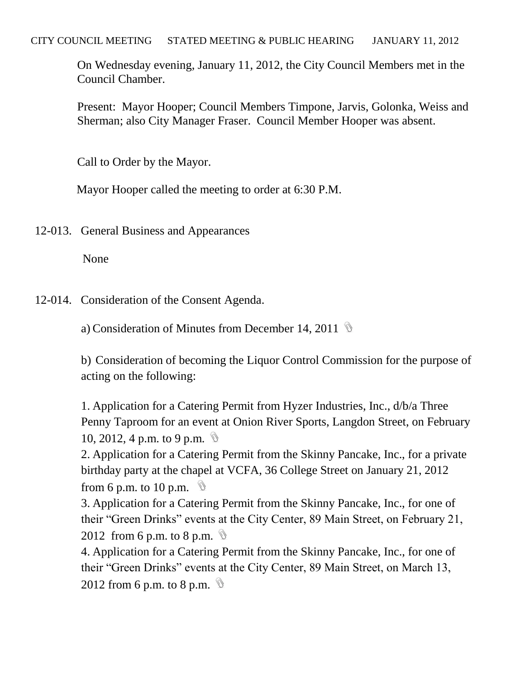On Wednesday evening, January 11, 2012, the City Council Members met in the Council Chamber.

Present: Mayor Hooper; Council Members Timpone, Jarvis, Golonka, Weiss and Sherman; also City Manager Fraser. Council Member Hooper was absent.

Call to Order by the Mayor.

Mayor Hooper called the meeting to order at 6:30 P.M.

12-013. General Business and Appearances

None

12-014. Consideration of the Consent Agenda.

a) Consideration of Minutes from December 14, 2011

b) Consideration of becoming the Liquor Control Commission for the purpose of acting on the following:

1. Application for a Catering Permit from Hyzer Industries, Inc., d/b/a Three Penny Taproom for an event at Onion River Sports, Langdon Street, on February 10, 2012, 4 p.m. to 9 p.m.  $\mathbb{Q}$ 

2. Application for a Catering Permit from the Skinny Pancake, Inc., for a private birthday party at the chapel at VCFA, 36 College Street on January 21, 2012 from 6 p.m. to 10 p.m.  $\mathcal{D}$ 

3. Application for a Catering Permit from the Skinny Pancake, Inc., for one of their "Green Drinks" events at the City Center, 89 Main Street, on February 21,

2012 from 6 p.m. to 8 p.m.  $\mathcal{D}$ 

4. Application for a Catering Permit from the Skinny Pancake, Inc., for one of their "Green Drinks" events at the City Center, 89 Main Street, on March 13, 2012 from 6 p.m. to 8 p.m.  $\mathbb{Q}$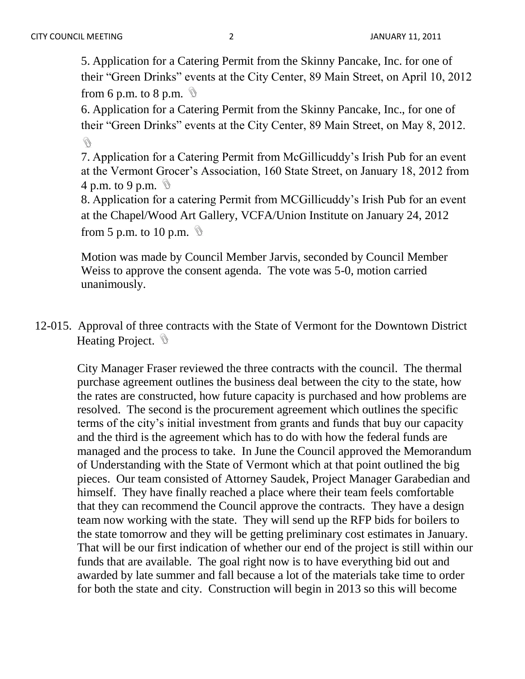5. Application for a Catering Permit from the Skinny Pancake, Inc. for one of their "Green Drinks" events at the City Center, 89 Main Street, on April 10, 2012 from 6 p.m. to 8 p.m.  $\mathbb{Q}$ 

6. Application for a Catering Permit from the Skinny Pancake, Inc., for one of their "Green Drinks" events at the City Center, 89 Main Street, on May 8, 2012. Q

7. Application for a Catering Permit from McGillicuddy's Irish Pub for an event at the Vermont Grocer's Association, 160 State Street, on January 18, 2012 from 4 p.m. to 9 p.m.  $\mathcal{D}$ 

8. Application for a catering Permit from MCGillicuddy's Irish Pub for an event at the Chapel/Wood Art Gallery, VCFA/Union Institute on January 24, 2012 from 5 p.m. to 10 p.m.  $\mathcal{D}$ 

Motion was made by Council Member Jarvis, seconded by Council Member Weiss to approve the consent agenda. The vote was 5-0, motion carried unanimously.

12-015. Approval of three contracts with the State of Vermont for the Downtown District Heating Project. **\** 

City Manager Fraser reviewed the three contracts with the council. The thermal purchase agreement outlines the business deal between the city to the state, how the rates are constructed, how future capacity is purchased and how problems are resolved. The second is the procurement agreement which outlines the specific terms of the city's initial investment from grants and funds that buy our capacity and the third is the agreement which has to do with how the federal funds are managed and the process to take. In June the Council approved the Memorandum of Understanding with the State of Vermont which at that point outlined the big pieces. Our team consisted of Attorney Saudek, Project Manager Garabedian and himself. They have finally reached a place where their team feels comfortable that they can recommend the Council approve the contracts. They have a design team now working with the state. They will send up the RFP bids for boilers to the state tomorrow and they will be getting preliminary cost estimates in January. That will be our first indication of whether our end of the project is still within our funds that are available. The goal right now is to have everything bid out and awarded by late summer and fall because a lot of the materials take time to order for both the state and city. Construction will begin in 2013 so this will become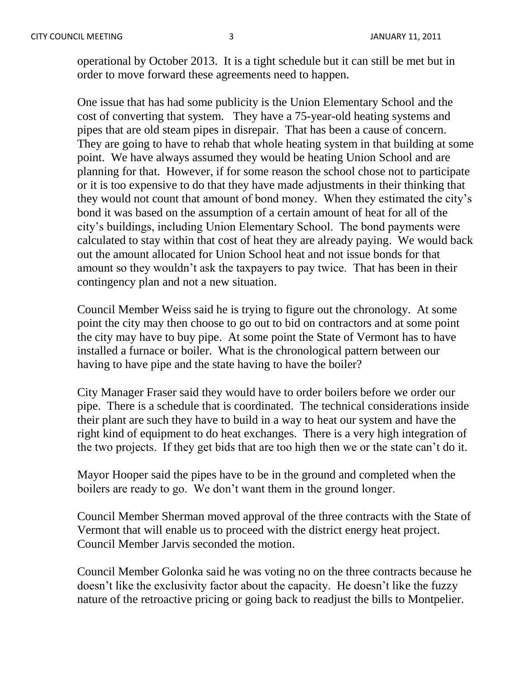operational by October 2013. It is a tight schedule but it can still be met but in order to move forward these agreements need to happen.

One issue that has had some publicity is the Union Elementary School and the cost of converting that system. They have a 75-year-old heating systems and pipes that are old steam pipes in disrepair. That has been a cause of concern. They are going to have to rehab that whole heating system in that building at some point. We have always assumed they would be heating Union School and are planning for that. However, if for some reason the school chose not to participate or it is too expensive to do that they have made adjustments in their thinking that they would not count that amount of bond money. When they estimated the city's bond it was based on the assumption of a certain amount of heat for all of the city's buildings, including Union Elementary School. The bond payments were calculated to stay within that cost of heat they are already paying. We would back out the amount allocated for Union School heat and not issue bonds for that amount so they wouldn't ask the taxpayers to pay twice. That has been in their contingency plan and not a new situation.

Council Member Weiss said he is trying to figure out the chronology. At some point the city may then choose to go out to bid on contractors and at some point the city may have to buy pipe. At some point the State of Vermont has to have installed a furnace or boiler. What is the chronological pattern between our having to have pipe and the state having to have the boiler?

City Manager Fraser said they would have to order boilers before we order our pipe. There is a schedule that is coordinated. The technical considerations inside their plant are such they have to build in a way to heat our system and have the right kind of equipment to do heat exchanges. There is a very high integration of the two projects. If they get bids that are too high then we or the state can't do it.

Mayor Hooper said the pipes have to be in the ground and completed when the boilers are ready to go. We don't want them in the ground longer.

Council Member Sherman moved approval of the three contracts with the State of Vermont that will enable us to proceed with the district energy heat project. Council Member Jarvis seconded the motion.

Council Member Golonka said he was voting no on the three contracts because he doesn't like the exclusivity factor about the capacity. He doesn't like the fuzzy nature of the retroactive pricing or going back to readjust the bills to Montpelier.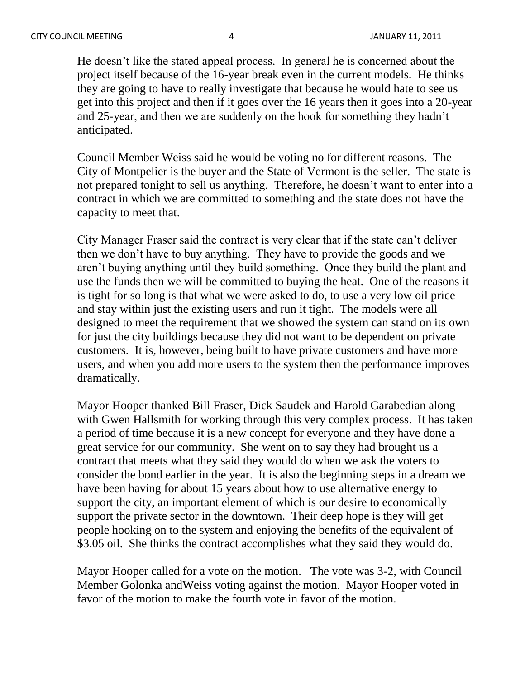He doesn't like the stated appeal process. In general he is concerned about the project itself because of the 16-year break even in the current models. He thinks they are going to have to really investigate that because he would hate to see us get into this project and then if it goes over the 16 years then it goes into a 20-year and 25-year, and then we are suddenly on the hook for something they hadn't anticipated.

Council Member Weiss said he would be voting no for different reasons. The City of Montpelier is the buyer and the State of Vermont is the seller. The state is not prepared tonight to sell us anything. Therefore, he doesn't want to enter into a contract in which we are committed to something and the state does not have the capacity to meet that.

City Manager Fraser said the contract is very clear that if the state can't deliver then we don't have to buy anything. They have to provide the goods and we aren't buying anything until they build something. Once they build the plant and use the funds then we will be committed to buying the heat. One of the reasons it is tight for so long is that what we were asked to do, to use a very low oil price and stay within just the existing users and run it tight. The models were all designed to meet the requirement that we showed the system can stand on its own for just the city buildings because they did not want to be dependent on private customers. It is, however, being built to have private customers and have more users, and when you add more users to the system then the performance improves dramatically.

Mayor Hooper thanked Bill Fraser, Dick Saudek and Harold Garabedian along with Gwen Hallsmith for working through this very complex process. It has taken a period of time because it is a new concept for everyone and they have done a great service for our community. She went on to say they had brought us a contract that meets what they said they would do when we ask the voters to consider the bond earlier in the year. It is also the beginning steps in a dream we have been having for about 15 years about how to use alternative energy to support the city, an important element of which is our desire to economically support the private sector in the downtown. Their deep hope is they will get people hooking on to the system and enjoying the benefits of the equivalent of \$3.05 oil. She thinks the contract accomplishes what they said they would do.

Mayor Hooper called for a vote on the motion. The vote was 3-2, with Council Member Golonka andWeiss voting against the motion. Mayor Hooper voted in favor of the motion to make the fourth vote in favor of the motion.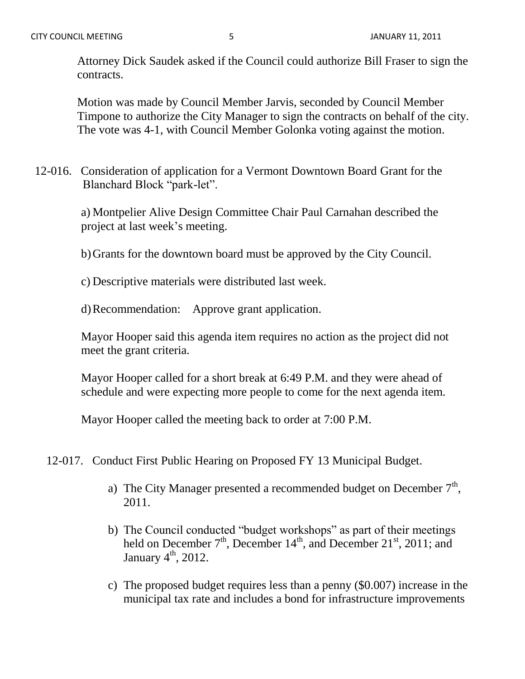Attorney Dick Saudek asked if the Council could authorize Bill Fraser to sign the contracts.

Motion was made by Council Member Jarvis, seconded by Council Member Timpone to authorize the City Manager to sign the contracts on behalf of the city. The vote was 4-1, with Council Member Golonka voting against the motion.

12-016. Consideration of application for a Vermont Downtown Board Grant for the Blanchard Block "park-let".

> a) Montpelier Alive Design Committee Chair Paul Carnahan described the project at last week's meeting.

b)Grants for the downtown board must be approved by the City Council.

c) Descriptive materials were distributed last week.

d)Recommendation: Approve grant application.

Mayor Hooper said this agenda item requires no action as the project did not meet the grant criteria.

Mayor Hooper called for a short break at 6:49 P.M. and they were ahead of schedule and were expecting more people to come for the next agenda item.

Mayor Hooper called the meeting back to order at 7:00 P.M.

12-017. Conduct First Public Hearing on Proposed FY 13 Municipal Budget.

- a) The City Manager presented a recommended budget on December  $7<sup>th</sup>$ , 2011.
- b) The Council conducted "budget workshops" as part of their meetings held on December  $7<sup>th</sup>$ , December  $14<sup>th</sup>$ , and December  $21<sup>st</sup>$ ,  $2011$ ; and January  $4<sup>th</sup>$ , 2012.
- c) The proposed budget requires less than a penny (\$0.007) increase in the municipal tax rate and includes a bond for infrastructure improvements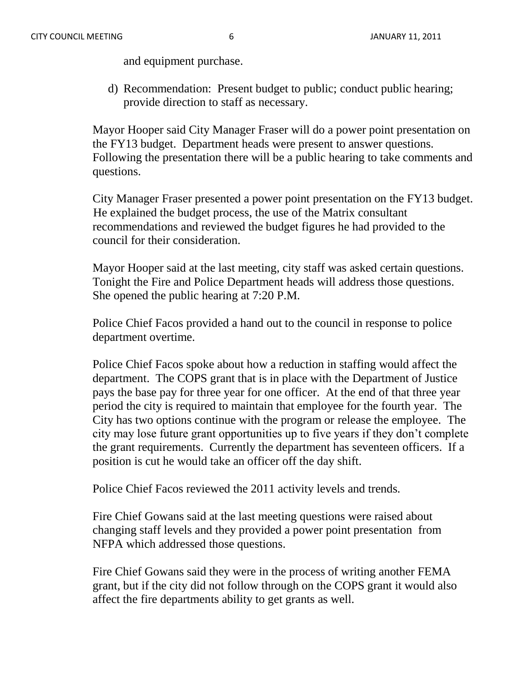and equipment purchase.

d) Recommendation: Present budget to public; conduct public hearing; provide direction to staff as necessary.

Mayor Hooper said City Manager Fraser will do a power point presentation on the FY13 budget. Department heads were present to answer questions. Following the presentation there will be a public hearing to take comments and questions.

City Manager Fraser presented a power point presentation on the FY13 budget. He explained the budget process, the use of the Matrix consultant recommendations and reviewed the budget figures he had provided to the council for their consideration.

Mayor Hooper said at the last meeting, city staff was asked certain questions. Tonight the Fire and Police Department heads will address those questions. She opened the public hearing at 7:20 P.M.

Police Chief Facos provided a hand out to the council in response to police department overtime.

Police Chief Facos spoke about how a reduction in staffing would affect the department. The COPS grant that is in place with the Department of Justice pays the base pay for three year for one officer. At the end of that three year period the city is required to maintain that employee for the fourth year. The City has two options continue with the program or release the employee. The city may lose future grant opportunities up to five years if they don't complete the grant requirements. Currently the department has seventeen officers. If a position is cut he would take an officer off the day shift.

Police Chief Facos reviewed the 2011 activity levels and trends.

Fire Chief Gowans said at the last meeting questions were raised about changing staff levels and they provided a power point presentation from NFPA which addressed those questions.

Fire Chief Gowans said they were in the process of writing another FEMA grant, but if the city did not follow through on the COPS grant it would also affect the fire departments ability to get grants as well.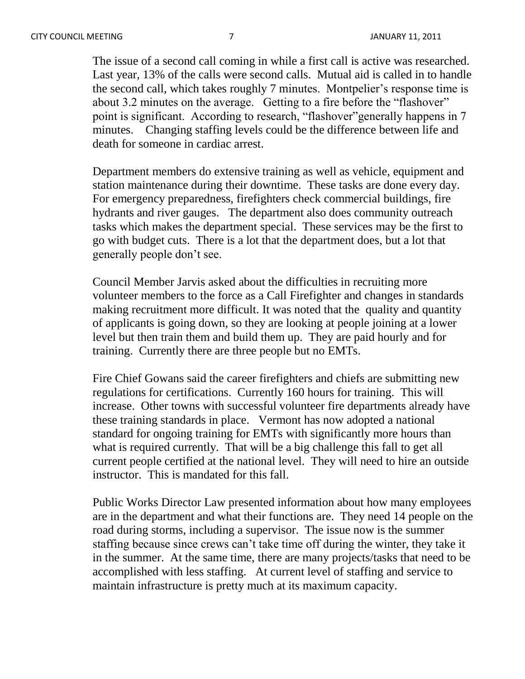The issue of a second call coming in while a first call is active was researched. Last year, 13% of the calls were second calls. Mutual aid is called in to handle the second call, which takes roughly 7 minutes. Montpelier's response time is about 3.2 minutes on the average. Getting to a fire before the "flashover" point is significant. According to research, "flashover"generally happens in 7 minutes. Changing staffing levels could be the difference between life and death for someone in cardiac arrest.

Department members do extensive training as well as vehicle, equipment and station maintenance during their downtime. These tasks are done every day. For emergency preparedness, firefighters check commercial buildings, fire hydrants and river gauges. The department also does community outreach tasks which makes the department special. These services may be the first to go with budget cuts. There is a lot that the department does, but a lot that generally people don't see.

Council Member Jarvis asked about the difficulties in recruiting more volunteer members to the force as a Call Firefighter and changes in standards making recruitment more difficult. It was noted that the quality and quantity of applicants is going down, so they are looking at people joining at a lower level but then train them and build them up. They are paid hourly and for training. Currently there are three people but no EMTs.

Fire Chief Gowans said the career firefighters and chiefs are submitting new regulations for certifications. Currently 160 hours for training. This will increase. Other towns with successful volunteer fire departments already have these training standards in place. Vermont has now adopted a national standard for ongoing training for EMTs with significantly more hours than what is required currently. That will be a big challenge this fall to get all current people certified at the national level. They will need to hire an outside instructor. This is mandated for this fall.

Public Works Director Law presented information about how many employees are in the department and what their functions are. They need 14 people on the road during storms, including a supervisor. The issue now is the summer staffing because since crews can't take time off during the winter, they take it in the summer. At the same time, there are many projects/tasks that need to be accomplished with less staffing. At current level of staffing and service to maintain infrastructure is pretty much at its maximum capacity.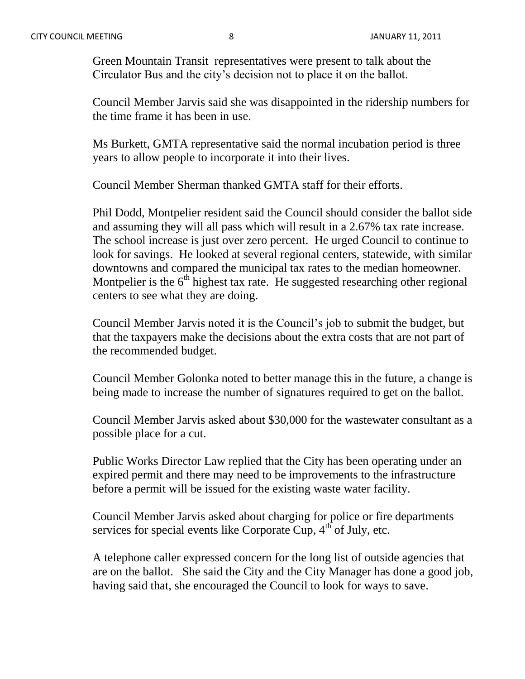Green Mountain Transit representatives were present to talk about the Circulator Bus and the city's decision not to place it on the ballot.

Council Member Jarvis said she was disappointed in the ridership numbers for the time frame it has been in use.

Ms Burkett, GMTA representative said the normal incubation period is three years to allow people to incorporate it into their lives.

Council Member Sherman thanked GMTA staff for their efforts.

Phil Dodd, Montpelier resident said the Council should consider the ballot side and assuming they will all pass which will result in a 2.67% tax rate increase. The school increase is just over zero percent. He urged Council to continue to look for savings. He looked at several regional centers, statewide, with similar downtowns and compared the municipal tax rates to the median homeowner. Montpelier is the  $6<sup>th</sup>$  highest tax rate. He suggested researching other regional centers to see what they are doing.

Council Member Jarvis noted it is the Council's job to submit the budget, but that the taxpayers make the decisions about the extra costs that are not part of the recommended budget.

Council Member Golonka noted to better manage this in the future, a change is being made to increase the number of signatures required to get on the ballot.

Council Member Jarvis asked about \$30,000 for the wastewater consultant as a possible place for a cut.

Public Works Director Law replied that the City has been operating under an expired permit and there may need to be improvements to the infrastructure before a permit will be issued for the existing waste water facility.

Council Member Jarvis asked about charging for police or fire departments services for special events like Corporate Cup,  $4<sup>th</sup>$  of July, etc.

A telephone caller expressed concern for the long list of outside agencies that are on the ballot. She said the City and the City Manager has done a good job, having said that, she encouraged the Council to look for ways to save.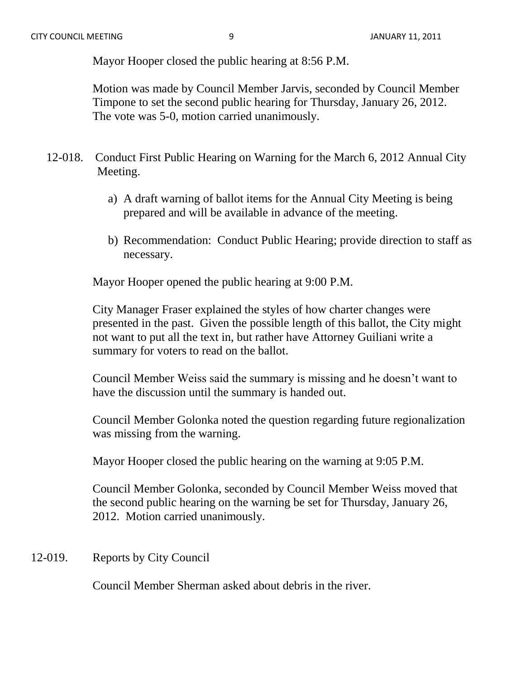Mayor Hooper closed the public hearing at 8:56 P.M.

Motion was made by Council Member Jarvis, seconded by Council Member Timpone to set the second public hearing for Thursday, January 26, 2012. The vote was 5-0, motion carried unanimously.

- 12-018. Conduct First Public Hearing on Warning for the March 6, 2012 Annual City Meeting.
	- a) A draft warning of ballot items for the Annual City Meeting is being prepared and will be available in advance of the meeting.
	- b) Recommendation: Conduct Public Hearing; provide direction to staff as necessary.

Mayor Hooper opened the public hearing at 9:00 P.M.

City Manager Fraser explained the styles of how charter changes were presented in the past. Given the possible length of this ballot, the City might not want to put all the text in, but rather have Attorney Guiliani write a summary for voters to read on the ballot.

Council Member Weiss said the summary is missing and he doesn't want to have the discussion until the summary is handed out.

Council Member Golonka noted the question regarding future regionalization was missing from the warning.

Mayor Hooper closed the public hearing on the warning at 9:05 P.M.

Council Member Golonka, seconded by Council Member Weiss moved that the second public hearing on the warning be set for Thursday, January 26, 2012. Motion carried unanimously.

## 12-019. Reports by City Council

Council Member Sherman asked about debris in the river.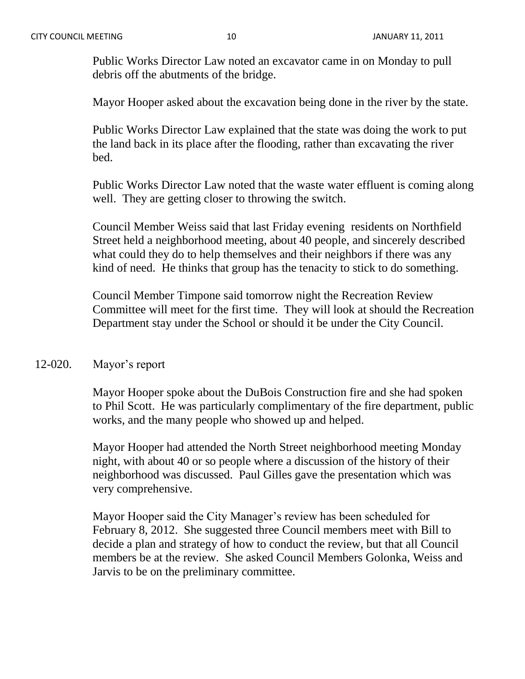Public Works Director Law noted an excavator came in on Monday to pull debris off the abutments of the bridge.

Mayor Hooper asked about the excavation being done in the river by the state.

Public Works Director Law explained that the state was doing the work to put the land back in its place after the flooding, rather than excavating the river bed.

Public Works Director Law noted that the waste water effluent is coming along well. They are getting closer to throwing the switch.

Council Member Weiss said that last Friday evening residents on Northfield Street held a neighborhood meeting, about 40 people, and sincerely described what could they do to help themselves and their neighbors if there was any kind of need. He thinks that group has the tenacity to stick to do something.

Council Member Timpone said tomorrow night the Recreation Review Committee will meet for the first time. They will look at should the Recreation Department stay under the School or should it be under the City Council.

## 12-020. Mayor's report

Mayor Hooper spoke about the DuBois Construction fire and she had spoken to Phil Scott. He was particularly complimentary of the fire department, public works, and the many people who showed up and helped.

Mayor Hooper had attended the North Street neighborhood meeting Monday night, with about 40 or so people where a discussion of the history of their neighborhood was discussed. Paul Gilles gave the presentation which was very comprehensive.

Mayor Hooper said the City Manager's review has been scheduled for February 8, 2012. She suggested three Council members meet with Bill to decide a plan and strategy of how to conduct the review, but that all Council members be at the review. She asked Council Members Golonka, Weiss and Jarvis to be on the preliminary committee.